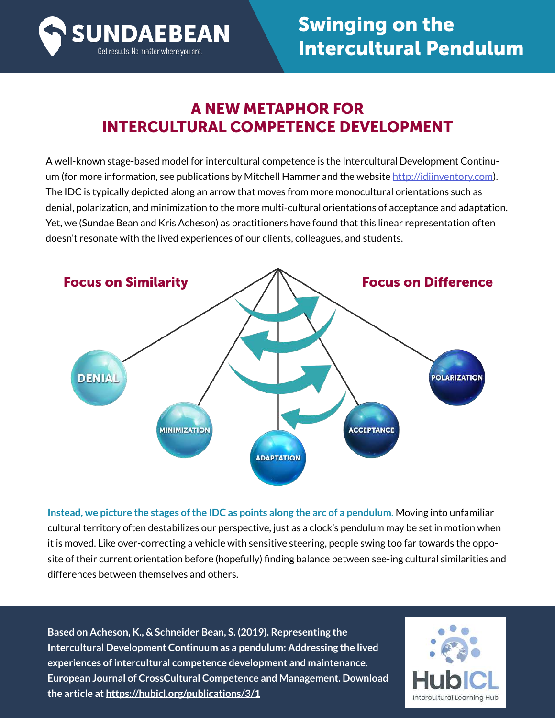

### A NEW METAPHOR FOR INTERCULTURAL COMPETENCE DEVELOPMENT

A well-known stage-based model for intercultural competence is the Intercultural Development Continuum (for more information, see publications by Mitchell Hammer and the website<http://idiinventory.com>). The IDC is typically depicted along an arrow that moves from more monocultural orientations such as denial, polarization, and minimization to the more multi-cultural orientations of acceptance and adaptation. Yet, we (Sundae Bean and Kris Acheson) as practitioners have found that this linear representation often doesn't resonate with the lived experiences of our clients, colleagues, and students.



**Instead, we picture the stages of the IDC as points along the arc of a pendulum.** Moving into unfamiliar cultural territory often destabilizes our perspective, just as a clock's pendulum may be set in motion when it is moved. Like over-correcting a vehicle with sensitive steering, people swing too far towards the opposite of their current orientation before (hopefully) finding balance between see-ing cultural similarities and differences between themselves and others.

**Based on Acheson, K., & Schneider Bean, S. (2019). Representing the Intercultural Development Continuum as a pendulum: Addressing the lived experiences of intercultural competence development and maintenance. European Journal of CrossCultural Competence and Management. Download the article at [https://hubicl.org/p](https://hubicl.org/publications/3/1)ublications/3/1** 

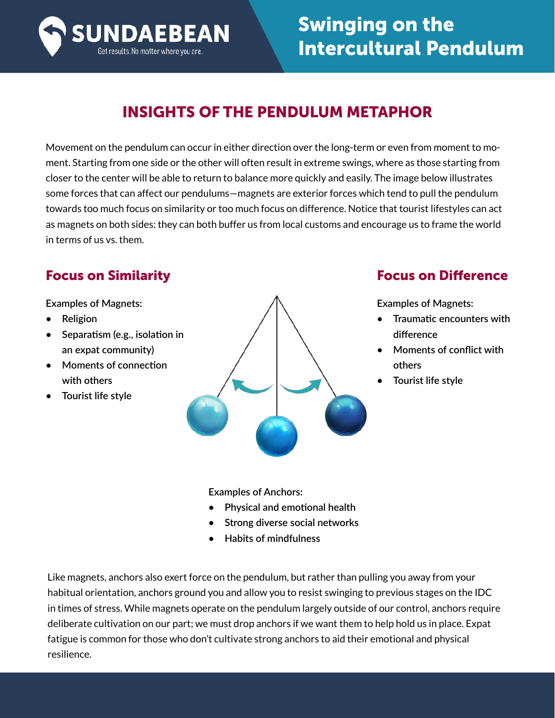

## INSIGHTS OF THE PENDULUM METAPHOR

Movement on the pendulum can occur in either direction over the long-term or even from moment to moment. Starting from one side or the other will often result in extreme swings, where as those starting from closer to the center will be able to return to balance more quickly and easily. The image below illustrates some forces that can affect our pendulums—magnets are exterior forces which tend to pull the pendulum towards too much focus on similarity or too much focus on difference. Notice that tourist lifestyles can act as magnets on both sides: they can both buffer us from local customs and encourage us to frame the world in terms of us vs. them.

**Examples of Magnets:**

- **Religion**
- **Separatism (e.g., isolation in an expat community)**
- **Moments of connection with others**
- **Tourist life style**



#### Focus on Similarity Focus on Difference

**Examples of Magnets:**

- **Traumatic encounters with difference**
- **Moments of conflict with others**
- **Tourist life style**

**Examples of Anchors:**

- **Physical and emotional health**
- **Strong diverse social networks**
- **Habits of mindfulness**

Like magnets, anchors also exert force on the pendulum, but rather than pulling you away from your habitual orientation, anchors ground you and allow you to resist swinging to previous stages on the IDC in times of stress. While magnets operate on the pendulum largely outside of our control, anchors require deliberate cultivation on our part; we must drop anchors if we want them to help hold us in place. Expat fatigue is common for those who don't cultivate strong anchors to aid their emotional and physical resilience.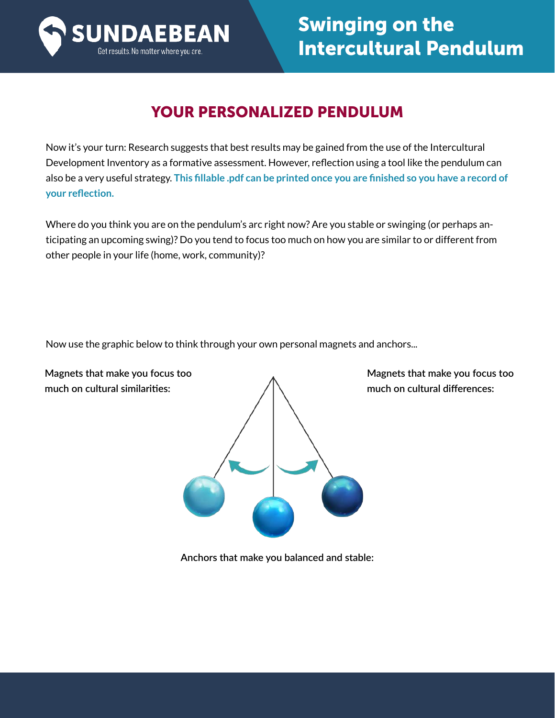

### YOUR PERSONALIZED PENDULUM

Now it's your turn: Research suggests that best results may be gained from the use of the Intercultural Development Inventory as a formative assessment. However, reflection using a tool like the pendulum can also be a very useful strategy. **This fillable .pdf can be printed once you are finished so you have a record of your reflection.** 

Where do you think you are on the pendulum's arc right now? Are you stable or swinging (or perhaps anticipating an upcoming swing)? Do you tend to focus too much on how you are similar to or different from other people in your life (home, work, community)?

Now use the graphic below to think through your own personal magnets and anchors...

**Magnets that make you focus too much on cultural similarities:**



**Magnets that make you focus too much on cultural differences:**

**Anchors that make you balanced and stable:**